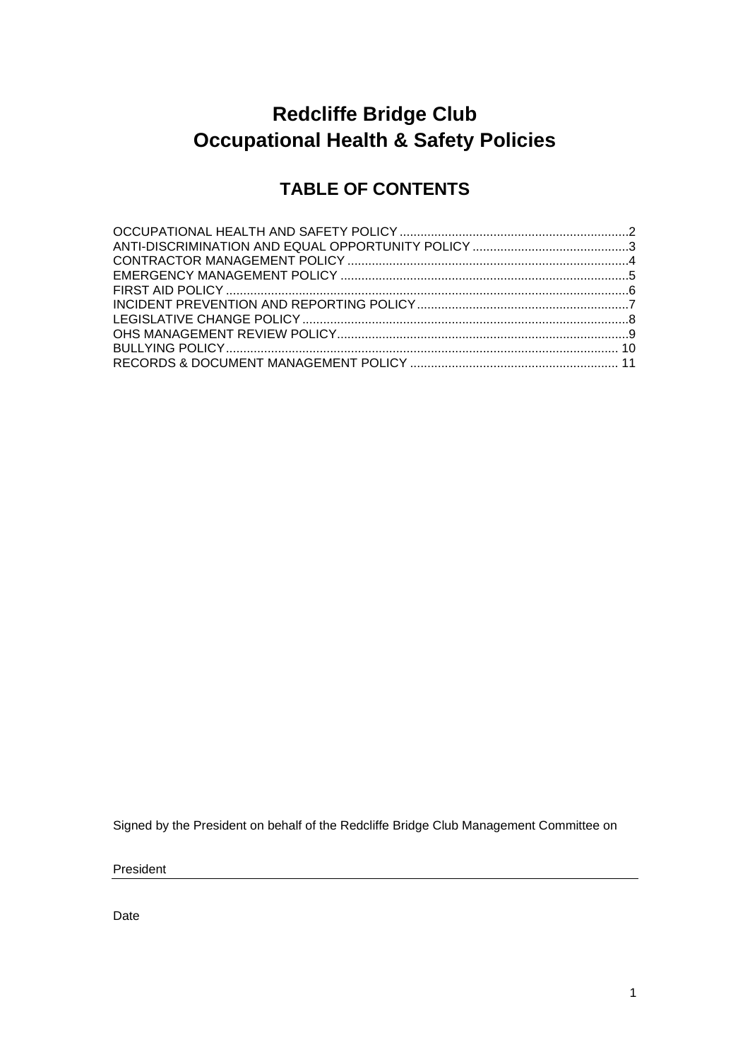# **Redcliffe Bridge Club Occupational Health & Safety Policies**

### **TABLE OF CONTENTS**

Signed by the President on behalf of the Redcliffe Bridge Club Management Committee on

President

Date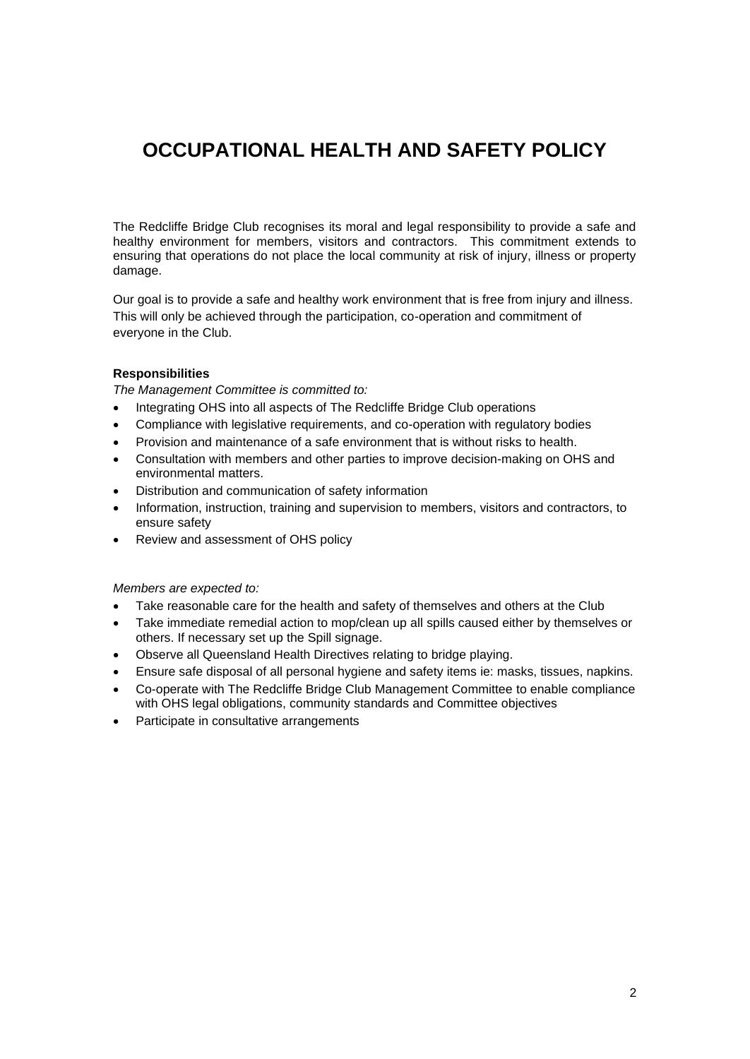## <span id="page-1-0"></span>**OCCUPATIONAL HEALTH AND SAFETY POLICY**

The Redcliffe Bridge Club recognises its moral and legal responsibility to provide a safe and healthy environment for members, visitors and contractors. This commitment extends to ensuring that operations do not place the local community at risk of injury, illness or property damage.

Our goal is to provide a safe and healthy work environment that is free from injury and illness. This will only be achieved through the participation, co-operation and commitment of everyone in the Club.

#### **Responsibilities**

*The Management Committee is committed to:*

- Integrating OHS into all aspects of The Redcliffe Bridge Club operations
- Compliance with legislative requirements, and co-operation with regulatory bodies
- Provision and maintenance of a safe environment that is without risks to health.
- Consultation with members and other parties to improve decision-making on OHS and environmental matters.
- Distribution and communication of safety information
- Information, instruction, training and supervision to members, visitors and contractors, to ensure safety
- Review and assessment of OHS policy

*Members are expected to:*

- Take reasonable care for the health and safety of themselves and others at the Club
- Take immediate remedial action to mop/clean up all spills caused either by themselves or others. If necessary set up the Spill signage.
- Observe all Queensland Health Directives relating to bridge playing.
- Ensure safe disposal of all personal hygiene and safety items ie: masks, tissues, napkins.
- Co-operate with The Redcliffe Bridge Club Management Committee to enable compliance with OHS legal obligations, community standards and Committee objectives
- Participate in consultative arrangements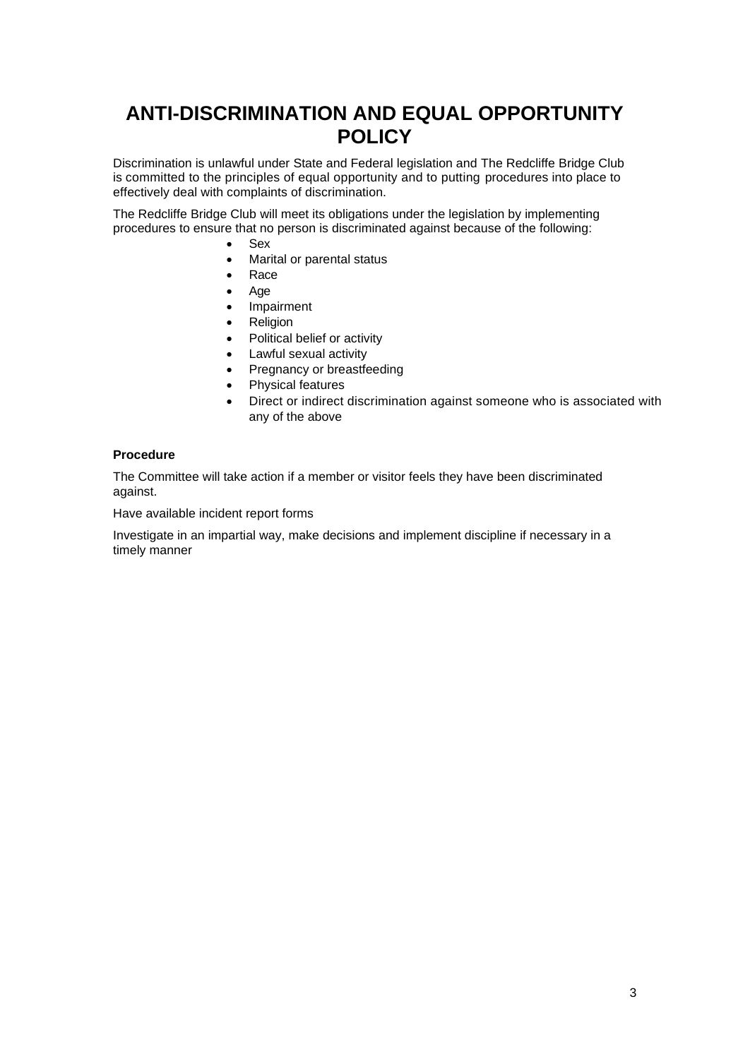### <span id="page-2-0"></span>**ANTI-DISCRIMINATION AND EQUAL OPPORTUNITY POLICY**

Discrimination is unlawful under State and Federal legislation and The Redcliffe Bridge Club is committed to the principles of equal opportunity and to putting procedures into place to effectively deal with complaints of discrimination.

The Redcliffe Bridge Club will meet its obligations under the legislation by implementing procedures to ensure that no person is discriminated against because of the following:

- Sex
- Marital or parental status
- Race
- Age
- **Impairment**
- **Religion**
- Political belief or activity
- Lawful sexual activity
- Pregnancy or breastfeeding
- Physical features
- Direct or indirect discrimination against someone who is associated with any of the above

#### **Procedure**

The Committee will take action if a member or visitor feels they have been discriminated against.

Have available incident report forms

Investigate in an impartial way, make decisions and implement discipline if necessary in a timely manner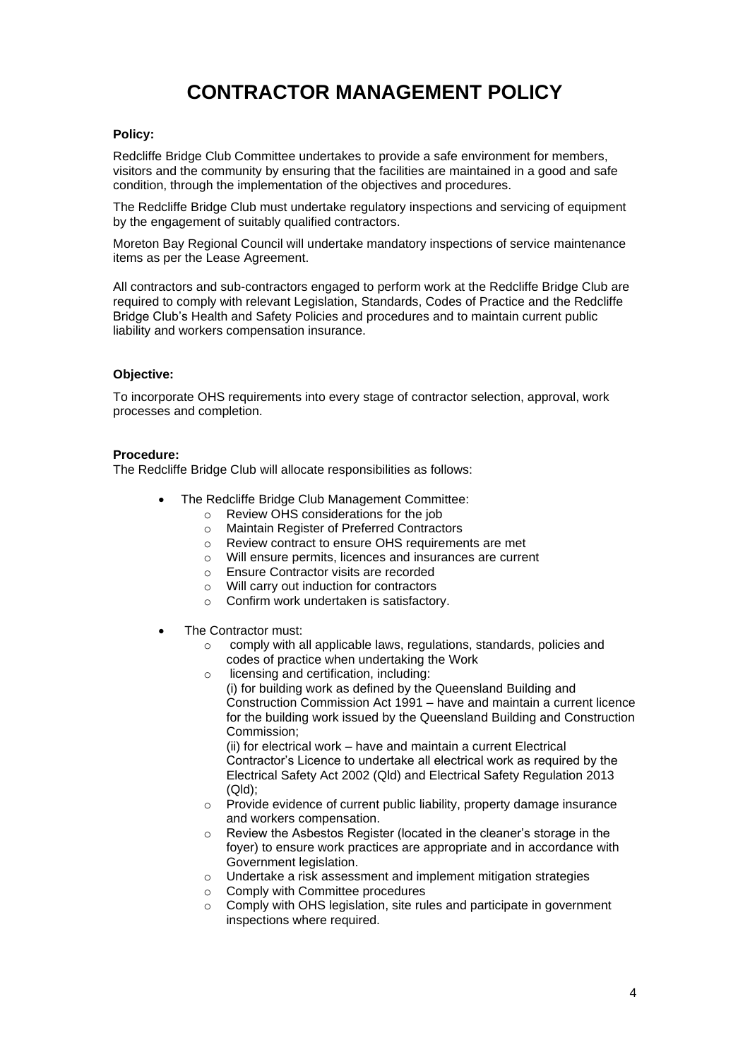# **CONTRACTOR MANAGEMENT POLICY**

#### <span id="page-3-0"></span>**Policy:**

Redcliffe Bridge Club Committee undertakes to provide a safe environment for members, visitors and the community by ensuring that the facilities are maintained in a good and safe condition, through the implementation of the objectives and procedures.

The Redcliffe Bridge Club must undertake regulatory inspections and servicing of equipment by the engagement of suitably qualified contractors.

Moreton Bay Regional Council will undertake mandatory inspections of service maintenance items as per the Lease Agreement.

All contractors and sub-contractors engaged to perform work at the Redcliffe Bridge Club are required to comply with relevant Legislation, Standards, Codes of Practice and the Redcliffe Bridge Club's Health and Safety Policies and procedures and to maintain current public liability and workers compensation insurance.

#### **Objective:**

To incorporate OHS requirements into every stage of contractor selection, approval, work processes and completion.

#### **Procedure:**

The Redcliffe Bridge Club will allocate responsibilities as follows:

- The Redcliffe Bridge Club Management Committee:
	- o Review OHS considerations for the job
	- o Maintain Register of Preferred Contractors
	- o Review contract to ensure OHS requirements are met
	- o Will ensure permits, licences and insurances are current
	- o Ensure Contractor visits are recorded
	- o Will carry out induction for contractors
	- o Confirm work undertaken is satisfactory.
- The Contractor must:
	- o comply with all applicable laws, regulations, standards, policies and codes of practice when undertaking the Work
	- o licensing and certification, including:

(i) for building work as defined by the Queensland Building and Construction Commission Act 1991 – have and maintain a current licence for the building work issued by the Queensland Building and Construction Commission;

(ii) for electrical work – have and maintain a current Electrical Contractor's Licence to undertake all electrical work as required by the Electrical Safety Act 2002 (Qld) and Electrical Safety Regulation 2013 (Qld);

- o Provide evidence of current public liability, property damage insurance and workers compensation.
- o Review the Asbestos Register (located in the cleaner's storage in the foyer) to ensure work practices are appropriate and in accordance with Government legislation.
- o Undertake a risk assessment and implement mitigation strategies
- o Comply with Committee procedures
- o Comply with OHS legislation, site rules and participate in government inspections where required.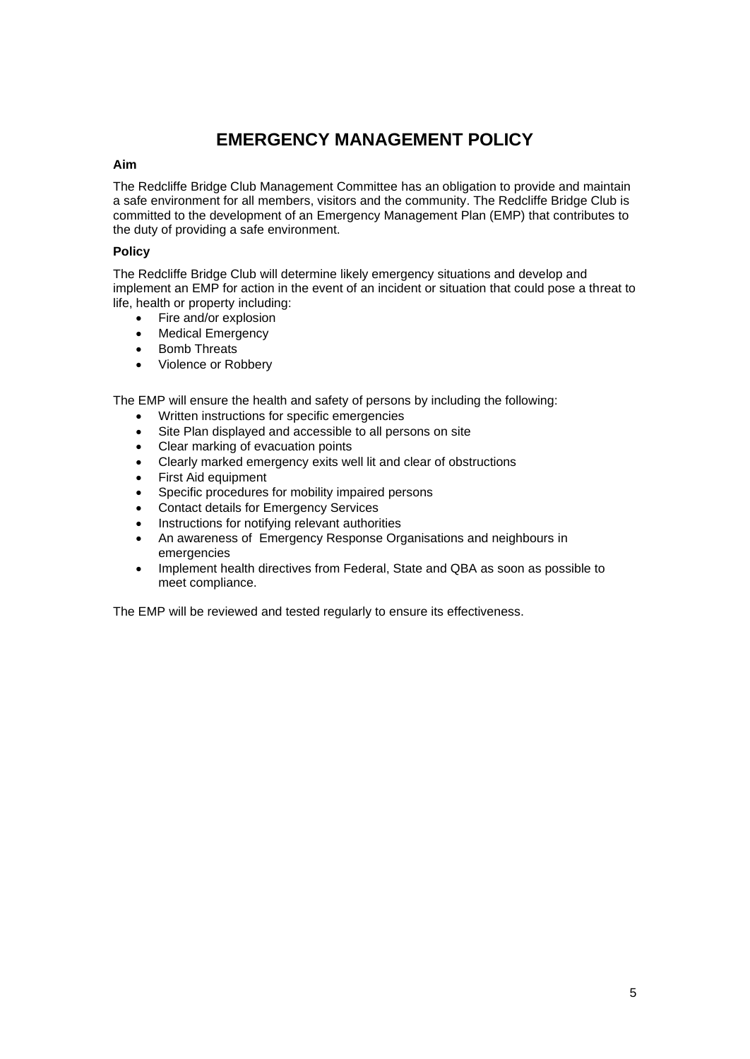### **EMERGENCY MANAGEMENT POLICY**

#### <span id="page-4-0"></span>**Aim**

The Redcliffe Bridge Club Management Committee has an obligation to provide and maintain a safe environment for all members, visitors and the community. The Redcliffe Bridge Club is committed to the development of an Emergency Management Plan (EMP) that contributes to the duty of providing a safe environment.

#### **Policy**

The Redcliffe Bridge Club will determine likely emergency situations and develop and implement an EMP for action in the event of an incident or situation that could pose a threat to life, health or property including:

- Fire and/or explosion
- **Medical Emergency**
- Bomb Threats
- Violence or Robbery

The EMP will ensure the health and safety of persons by including the following:

- Written instructions for specific emergencies
- Site Plan displayed and accessible to all persons on site
- Clear marking of evacuation points
- Clearly marked emergency exits well lit and clear of obstructions
- First Aid equipment
- Specific procedures for mobility impaired persons
- Contact details for Emergency Services
- Instructions for notifying relevant authorities
- An awareness of Emergency Response Organisations and neighbours in emergencies
- Implement health directives from Federal, State and QBA as soon as possible to meet compliance.

The EMP will be reviewed and tested regularly to ensure its effectiveness.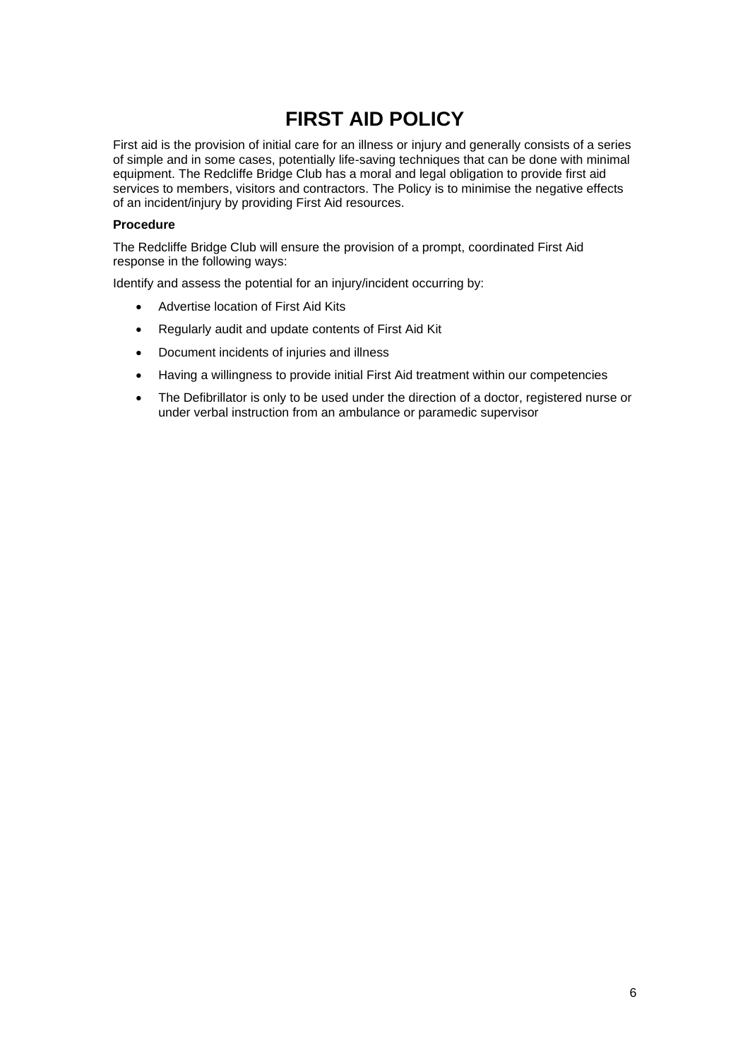### **FIRST AID POLICY**

<span id="page-5-0"></span>First aid is the provision of initial care for an illness or injury and generally consists of a series of simple and in some cases, potentially life-saving techniques that can be done with minimal equipment. The Redcliffe Bridge Club has a moral and legal obligation to provide first aid services to members, visitors and contractors. The Policy is to minimise the negative effects of an incident/injury by providing First Aid resources.

#### **Procedure**

The Redcliffe Bridge Club will ensure the provision of a prompt, coordinated First Aid response in the following ways:

Identify and assess the potential for an injury/incident occurring by:

- Advertise location of First Aid Kits
- Regularly audit and update contents of First Aid Kit
- Document incidents of injuries and illness
- Having a willingness to provide initial First Aid treatment within our competencies
- The Defibrillator is only to be used under the direction of a doctor, registered nurse or under verbal instruction from an ambulance or paramedic supervisor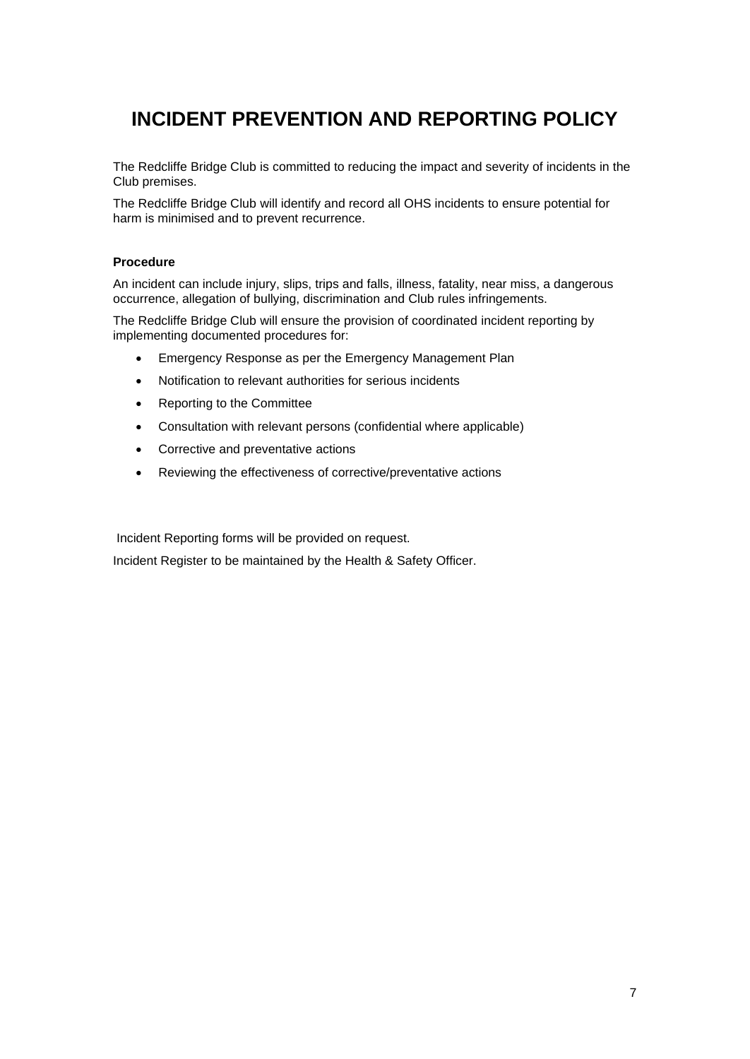### <span id="page-6-0"></span>**INCIDENT PREVENTION AND REPORTING POLICY**

The Redcliffe Bridge Club is committed to reducing the impact and severity of incidents in the Club premises.

The Redcliffe Bridge Club will identify and record all OHS incidents to ensure potential for harm is minimised and to prevent recurrence.

#### **Procedure**

An incident can include injury, slips, trips and falls, illness, fatality, near miss, a dangerous occurrence, allegation of bullying, discrimination and Club rules infringements.

The Redcliffe Bridge Club will ensure the provision of coordinated incident reporting by implementing documented procedures for:

- Emergency Response as per the Emergency Management Plan
- Notification to relevant authorities for serious incidents
- Reporting to the Committee
- Consultation with relevant persons (confidential where applicable)
- Corrective and preventative actions
- Reviewing the effectiveness of corrective/preventative actions

Incident Reporting forms will be provided on request.

Incident Register to be maintained by the Health & Safety Officer.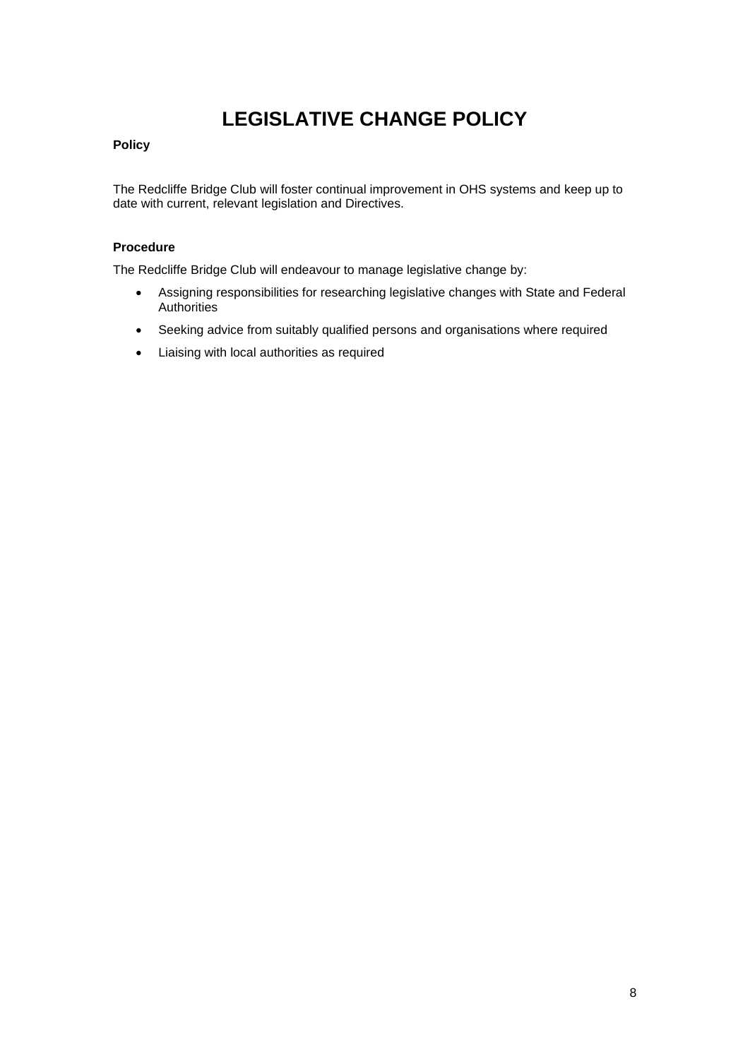# **LEGISLATIVE CHANGE POLICY**

#### <span id="page-7-0"></span>**Policy**

The Redcliffe Bridge Club will foster continual improvement in OHS systems and keep up to date with current, relevant legislation and Directives.

#### **Procedure**

The Redcliffe Bridge Club will endeavour to manage legislative change by:

- Assigning responsibilities for researching legislative changes with State and Federal **Authorities**
- Seeking advice from suitably qualified persons and organisations where required
- Liaising with local authorities as required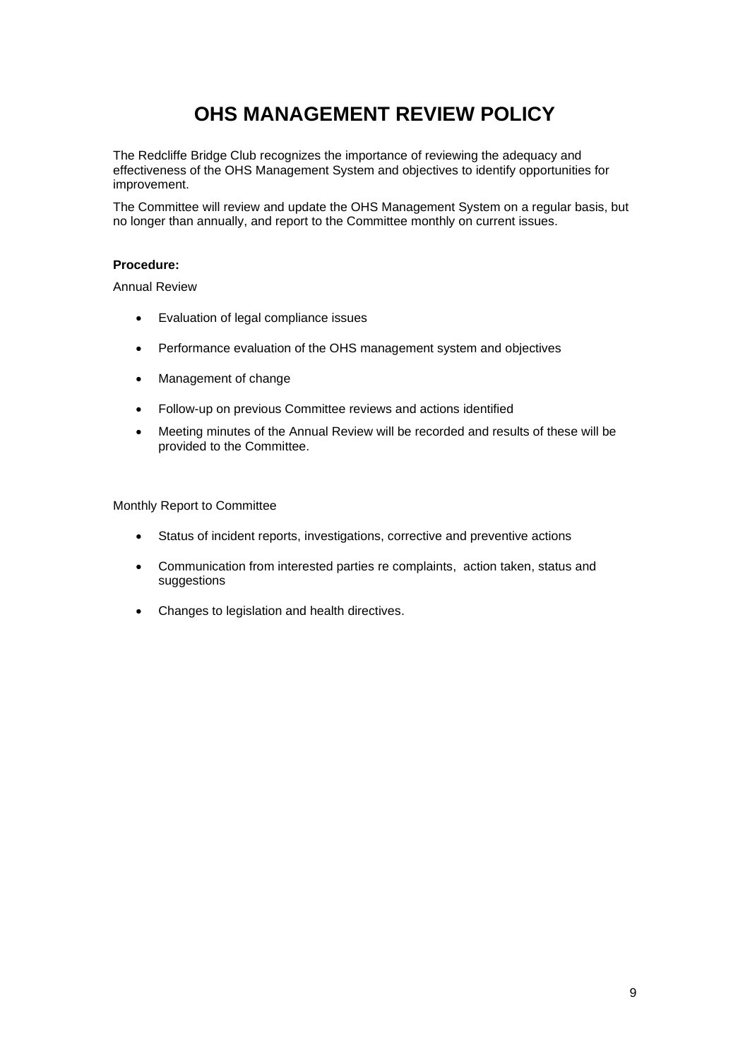## **OHS MANAGEMENT REVIEW POLICY**

<span id="page-8-0"></span>The Redcliffe Bridge Club recognizes the importance of reviewing the adequacy and effectiveness of the OHS Management System and objectives to identify opportunities for improvement.

The Committee will review and update the OHS Management System on a regular basis, but no longer than annually, and report to the Committee monthly on current issues.

#### **Procedure:**

Annual Review

- Evaluation of legal compliance issues
- Performance evaluation of the OHS management system and objectives
- Management of change
- Follow-up on previous Committee reviews and actions identified
- Meeting minutes of the Annual Review will be recorded and results of these will be provided to the Committee.

Monthly Report to Committee

- Status of incident reports, investigations, corrective and preventive actions
- Communication from interested parties re complaints, action taken, status and suggestions
- Changes to legislation and health directives.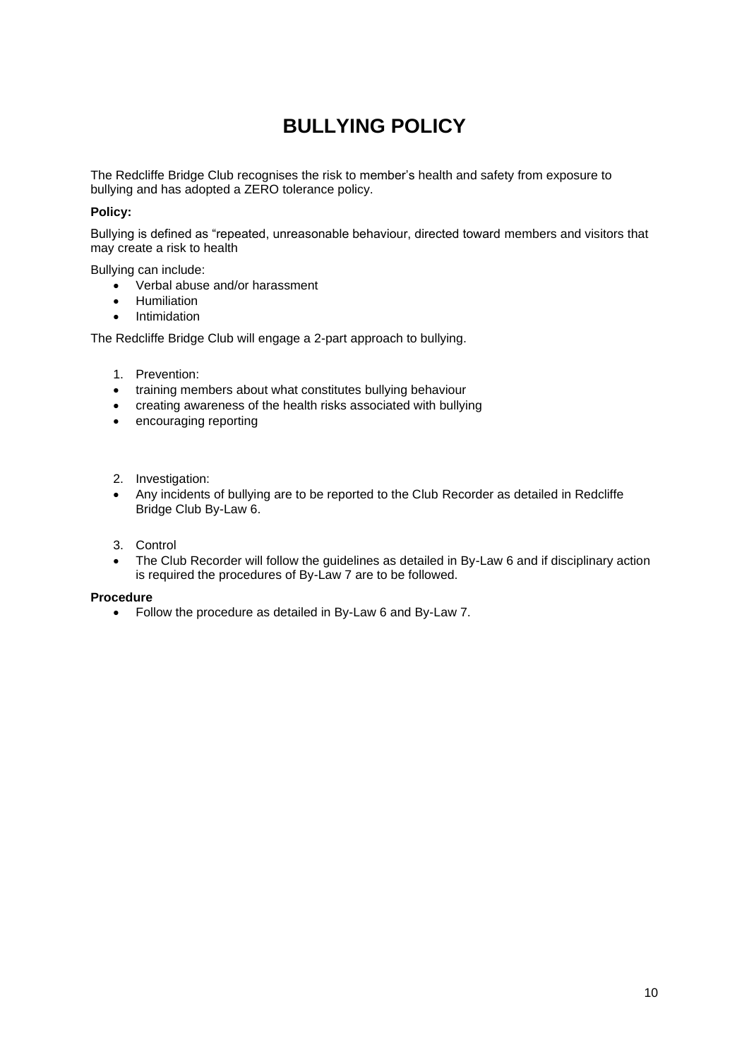# **BULLYING POLICY**

<span id="page-9-0"></span>The Redcliffe Bridge Club recognises the risk to member's health and safety from exposure to bullying and has adopted a ZERO tolerance policy.

#### **Policy:**

Bullying is defined as "repeated, unreasonable behaviour, directed toward members and visitors that may create a risk to health

Bullying can include:

- Verbal abuse and/or harassment
- Humiliation
- Intimidation

The Redcliffe Bridge Club will engage a 2-part approach to bullying.

- 1. Prevention:
- training members about what constitutes bullying behaviour
- creating awareness of the health risks associated with bullying
- encouraging reporting
- 2. Investigation:
- Any incidents of bullying are to be reported to the Club Recorder as detailed in Redcliffe Bridge Club By-Law 6.
- 3. Control
- The Club Recorder will follow the guidelines as detailed in By-Law 6 and if disciplinary action is required the procedures of By-Law 7 are to be followed.

#### **Procedure**

• Follow the procedure as detailed in By-Law 6 and By-Law 7.